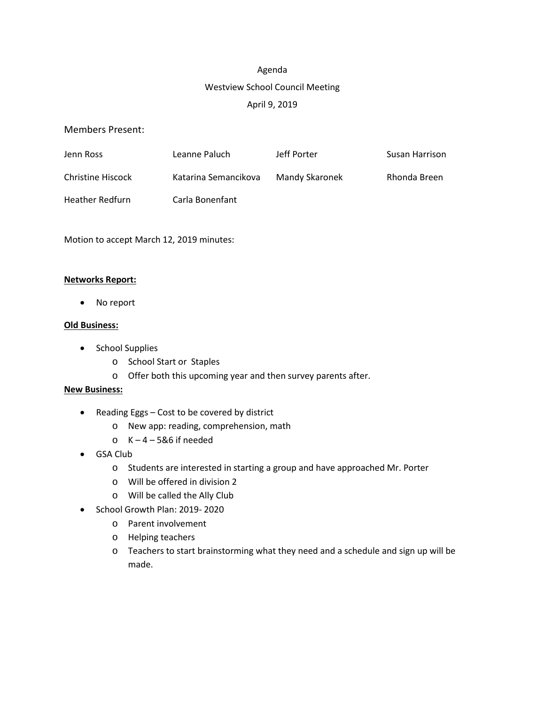# Agenda Westview School Council Meeting April 9, 2019

## Members Present:

| Jenn Ross              | Leanne Paluch        | Jeff Porter    | Susan Harrison |
|------------------------|----------------------|----------------|----------------|
| Christine Hiscock      | Katarina Semancikova | Mandy Skaronek | Rhonda Breen   |
| <b>Heather Redfurn</b> | Carla Bonenfant      |                |                |

Motion to accept March 12, 2019 minutes:

## **Networks Report:**

• No report

# **Old Business:**

- School Supplies
	- o School Start or Staples
	- o Offer both this upcoming year and then survey parents after.

## **New Business:**

- Reading Eggs Cost to be covered by district
	- o New app: reading, comprehension, math
	- $\circ$  K 4 5&6 if needed
- GSA Club
	- o Students are interested in starting a group and have approached Mr. Porter
	- o Will be offered in division 2
	- o Will be called the Ally Club
- School Growth Plan: 2019- 2020
	- o Parent involvement
	- o Helping teachers
	- o Teachers to start brainstorming what they need and a schedule and sign up will be made.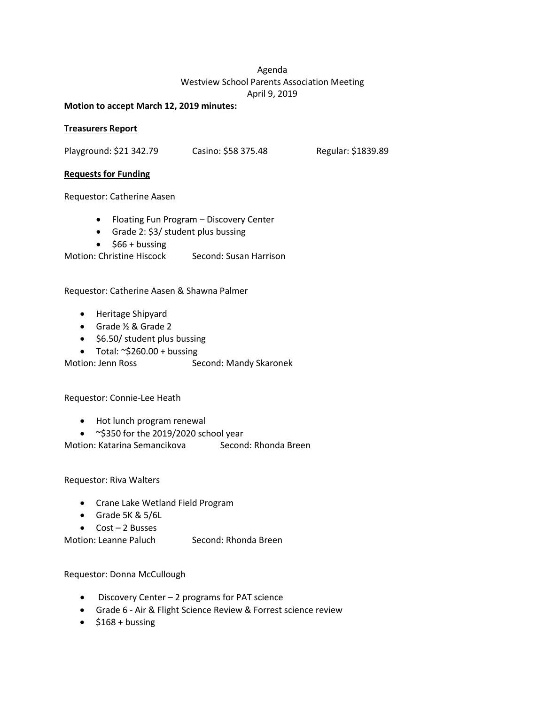# Agenda Westview School Parents Association Meeting April 9, 2019

#### **Motion to accept March 12, 2019 minutes:**

### **Treasurers Report**

Playground: \$21 342.79 Casino: \$58 375.48 Regular: \$1839.89

#### **Requests for Funding**

Requestor: Catherine Aasen

- Floating Fun Program Discovery Center
- Grade 2: \$3/ student plus bussing
- $\bullet$  \$66 + bussing

Motion: Christine Hiscock Second: Susan Harrison

Requestor: Catherine Aasen & Shawna Palmer

- Heritage Shipyard
- Grade ½ & Grade 2
- \$6.50/ student plus bussing
- Total:  $\sim$ \$260.00 + bussing

Motion: Jenn Ross Second: Mandy Skaronek

Requestor: Connie-Lee Heath

- Hot lunch program renewal
- ~\$350 for the 2019/2020 school year

Motion: Katarina Semancikova Second: Rhonda Breen

Requestor: Riva Walters

- Crane Lake Wetland Field Program
- Grade 5K & 5/6L
- Cost 2 Busses

Motion: Leanne Paluch Second: Rhonda Breen

Requestor: Donna McCullough

- Discovery Center 2 programs for PAT science
- Grade 6 Air & Flight Science Review & Forrest science review
- $\bullet$  \$168 + bussing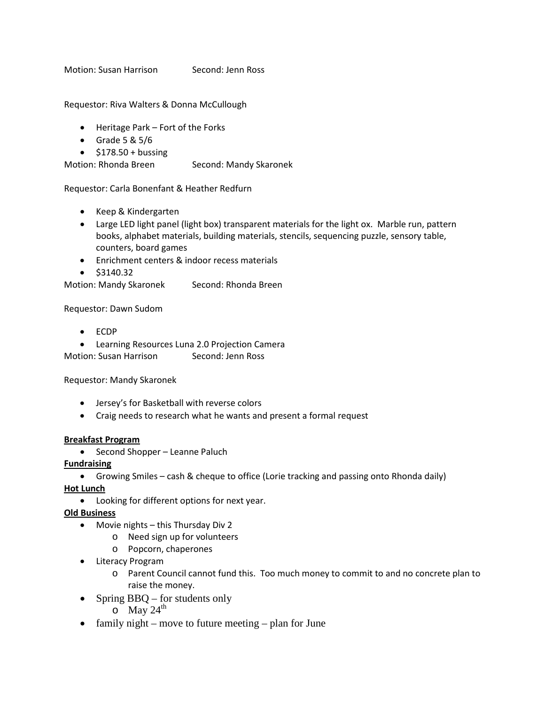Motion: Susan Harrison Second: Jenn Ross

Requestor: Riva Walters & Donna McCullough

- Heritage Park Fort of the Forks
- Grade  $5 & 5/6$
- $\bullet$  \$178.50 + bussing

Motion: Rhonda Breen Second: Mandy Skaronek

Requestor: Carla Bonenfant & Heather Redfurn

- Keep & Kindergarten
- Large LED light panel (light box) transparent materials for the light ox. Marble run, pattern books, alphabet materials, building materials, stencils, sequencing puzzle, sensory table, counters, board games
- Enrichment centers & indoor recess materials
- \$3140.32

Motion: Mandy Skaronek Second: Rhonda Breen

Requestor: Dawn Sudom

- ECDP
- Learning Resources Luna 2.0 Projection Camera

Motion: Susan Harrison Second: Jenn Ross

Requestor: Mandy Skaronek

- Jersey's for Basketball with reverse colors
- Craig needs to research what he wants and present a formal request

#### **Breakfast Program**

• Second Shopper – Leanne Paluch

**Fundraising**

• Growing Smiles – cash & cheque to office (Lorie tracking and passing onto Rhonda daily)

**Hot Lunch**

• Looking for different options for next year.

**Old Business**

- Movie nights this Thursday Div 2
	- o Need sign up for volunteers
	- o Popcorn, chaperones
- Literacy Program
	- o Parent Council cannot fund this. Too much money to commit to and no concrete plan to raise the money.
- Spring BBQ for students only
	- $\circ$  May 24<sup>th</sup>
- family night move to future meeting plan for June